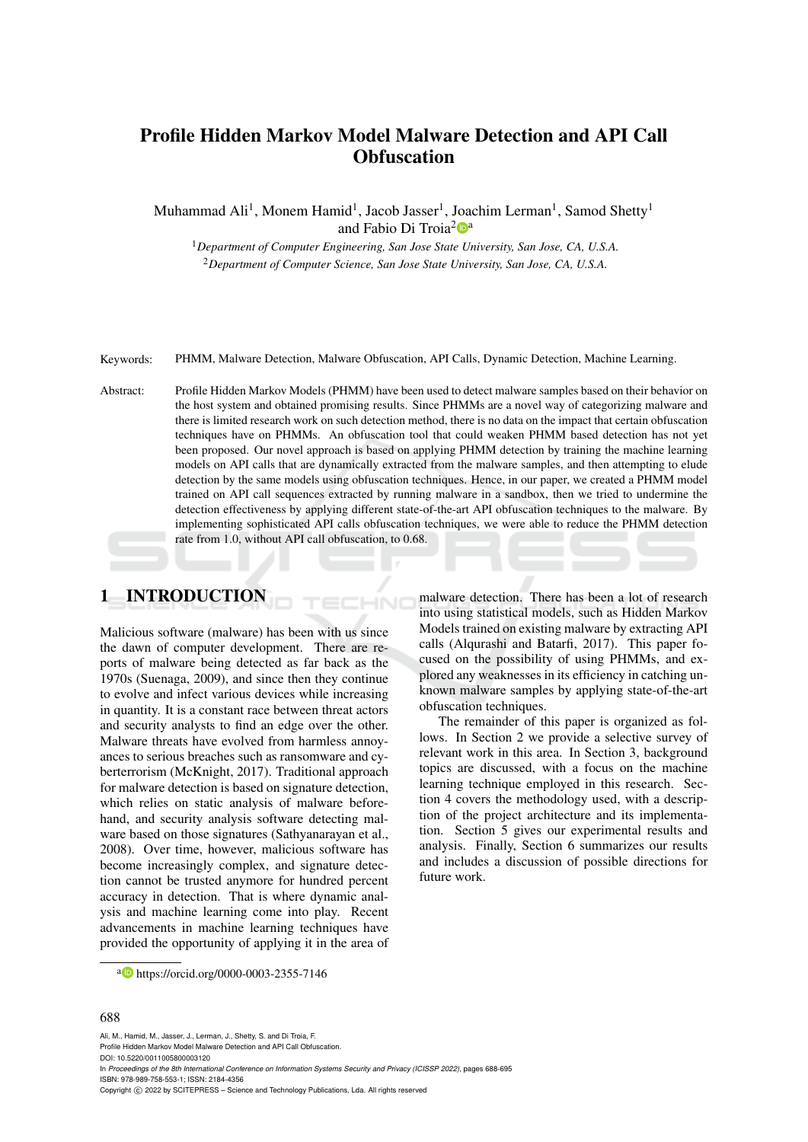# Profile Hidden Markov Model Malware Detection and API Call **Obfuscation**

Muhammad Ali<sup>1</sup>, Monem Hamid<sup>1</sup>, Jacob Jasser<sup>1</sup>, Joachim Lerman<sup>1</sup>, Samod Shetty<sup>1</sup> and Fabio Di Troia<sup>2</sup><sup>a</sup>

<sup>1</sup>*Department of Computer Engineering, San Jose State University, San Jose, CA, U.S.A.* <sup>2</sup>*Department of Computer Science, San Jose State University, San Jose, CA, U.S.A.*

Keywords: PHMM, Malware Detection, Malware Obfuscation, API Calls, Dynamic Detection, Machine Learning.

Abstract: Profile Hidden Markov Models (PHMM) have been used to detect malware samples based on their behavior on the host system and obtained promising results. Since PHMMs are a novel way of categorizing malware and there is limited research work on such detection method, there is no data on the impact that certain obfuscation techniques have on PHMMs. An obfuscation tool that could weaken PHMM based detection has not yet been proposed. Our novel approach is based on applying PHMM detection by training the machine learning models on API calls that are dynamically extracted from the malware samples, and then attempting to elude detection by the same models using obfuscation techniques. Hence, in our paper, we created a PHMM model trained on API call sequences extracted by running malware in a sandbox, then we tried to undermine the detection effectiveness by applying different state-of-the-art API obfuscation techniques to the malware. By implementing sophisticated API calls obfuscation techniques, we were able to reduce the PHMM detection rate from 1.0, without API call obfuscation, to 0.68.

 $\neg$ NC

# 1 INTRODUCTION

Malicious software (malware) has been with us since the dawn of computer development. There are reports of malware being detected as far back as the 1970s (Suenaga, 2009), and since then they continue to evolve and infect various devices while increasing in quantity. It is a constant race between threat actors and security analysts to find an edge over the other. Malware threats have evolved from harmless annoyances to serious breaches such as ransomware and cyberterrorism (McKnight, 2017). Traditional approach for malware detection is based on signature detection, which relies on static analysis of malware beforehand, and security analysis software detecting malware based on those signatures (Sathyanarayan et al., 2008). Over time, however, malicious software has become increasingly complex, and signature detection cannot be trusted anymore for hundred percent accuracy in detection. That is where dynamic analysis and machine learning come into play. Recent advancements in machine learning techniques have provided the opportunity of applying it in the area of malware detection. There has been a lot of research into using statistical models, such as Hidden Markov Models trained on existing malware by extracting API calls (Alqurashi and Batarfi, 2017). This paper focused on the possibility of using PHMMs, and explored any weaknesses in its efficiency in catching unknown malware samples by applying state-of-the-art obfuscation techniques.

The remainder of this paper is organized as follows. In Section 2 we provide a selective survey of relevant work in this area. In Section 3, background topics are discussed, with a focus on the machine learning technique employed in this research. Section 4 covers the methodology used, with a description of the project architecture and its implementation. Section 5 gives our experimental results and analysis. Finally, Section 6 summarizes our results and includes a discussion of possible directions for future work.

#### 688

Ali, M., Hamid, M., Jasser, J., Lerman, J., Shetty, S. and Di Troia, F. Profile Hidden Markov Model Malware Detection and API Call Obfuscation. DOI: 10.5220/0011005800003120 In *Proceedings of the 8th International Conference on Information Systems Security and Privacy (ICISSP 2022)*, pages 688-695 ISBN: 978-989-758-553-1; ISSN: 2184-4356 Copyright (C) 2022 by SCITEPRESS - Science and Technology Publications, Lda. All rights reserved

<sup>a</sup> https://orcid.org/0000-0003-2355-7146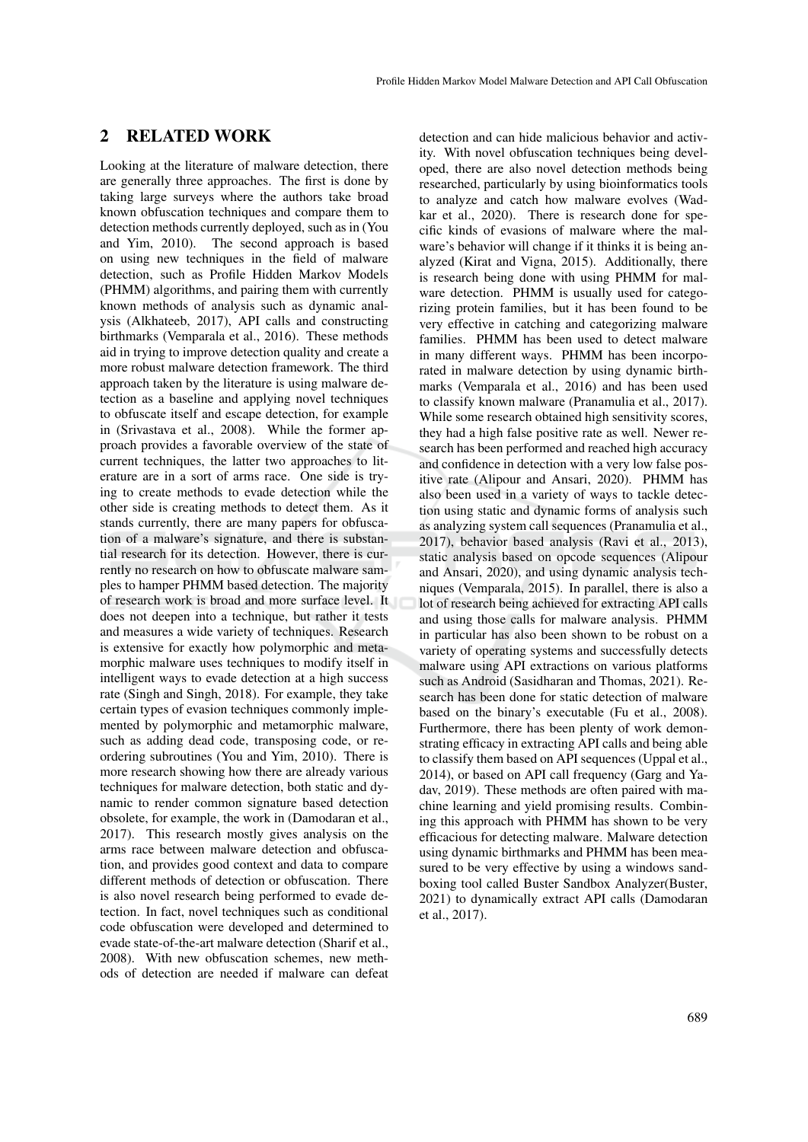## 2 RELATED WORK

Looking at the literature of malware detection, there are generally three approaches. The first is done by taking large surveys where the authors take broad known obfuscation techniques and compare them to detection methods currently deployed, such as in (You and Yim, 2010). The second approach is based on using new techniques in the field of malware detection, such as Profile Hidden Markov Models (PHMM) algorithms, and pairing them with currently known methods of analysis such as dynamic analysis (Alkhateeb, 2017), API calls and constructing birthmarks (Vemparala et al., 2016). These methods aid in trying to improve detection quality and create a more robust malware detection framework. The third approach taken by the literature is using malware detection as a baseline and applying novel techniques to obfuscate itself and escape detection, for example in (Srivastava et al., 2008). While the former approach provides a favorable overview of the state of current techniques, the latter two approaches to literature are in a sort of arms race. One side is trying to create methods to evade detection while the other side is creating methods to detect them. As it stands currently, there are many papers for obfuscation of a malware's signature, and there is substantial research for its detection. However, there is currently no research on how to obfuscate malware samples to hamper PHMM based detection. The majority of research work is broad and more surface level. It does not deepen into a technique, but rather it tests and measures a wide variety of techniques. Research is extensive for exactly how polymorphic and metamorphic malware uses techniques to modify itself in intelligent ways to evade detection at a high success rate (Singh and Singh, 2018). For example, they take certain types of evasion techniques commonly implemented by polymorphic and metamorphic malware, such as adding dead code, transposing code, or reordering subroutines (You and Yim, 2010). There is more research showing how there are already various techniques for malware detection, both static and dynamic to render common signature based detection obsolete, for example, the work in (Damodaran et al., 2017). This research mostly gives analysis on the arms race between malware detection and obfuscation, and provides good context and data to compare different methods of detection or obfuscation. There is also novel research being performed to evade detection. In fact, novel techniques such as conditional code obfuscation were developed and determined to evade state-of-the-art malware detection (Sharif et al., 2008). With new obfuscation schemes, new methods of detection are needed if malware can defeat

detection and can hide malicious behavior and activity. With novel obfuscation techniques being developed, there are also novel detection methods being researched, particularly by using bioinformatics tools to analyze and catch how malware evolves (Wadkar et al., 2020). There is research done for specific kinds of evasions of malware where the malware's behavior will change if it thinks it is being analyzed (Kirat and Vigna, 2015). Additionally, there is research being done with using PHMM for malware detection. PHMM is usually used for categorizing protein families, but it has been found to be very effective in catching and categorizing malware families. PHMM has been used to detect malware in many different ways. PHMM has been incorporated in malware detection by using dynamic birthmarks (Vemparala et al., 2016) and has been used to classify known malware (Pranamulia et al., 2017). While some research obtained high sensitivity scores, they had a high false positive rate as well. Newer research has been performed and reached high accuracy and confidence in detection with a very low false positive rate (Alipour and Ansari, 2020). PHMM has also been used in a variety of ways to tackle detection using static and dynamic forms of analysis such as analyzing system call sequences (Pranamulia et al., 2017), behavior based analysis (Ravi et al., 2013), static analysis based on opcode sequences (Alipour and Ansari, 2020), and using dynamic analysis techniques (Vemparala, 2015). In parallel, there is also a lot of research being achieved for extracting API calls and using those calls for malware analysis. PHMM in particular has also been shown to be robust on a variety of operating systems and successfully detects malware using API extractions on various platforms such as Android (Sasidharan and Thomas, 2021). Research has been done for static detection of malware based on the binary's executable (Fu et al., 2008). Furthermore, there has been plenty of work demonstrating efficacy in extracting API calls and being able to classify them based on API sequences (Uppal et al., 2014), or based on API call frequency (Garg and Yadav, 2019). These methods are often paired with machine learning and yield promising results. Combining this approach with PHMM has shown to be very efficacious for detecting malware. Malware detection using dynamic birthmarks and PHMM has been measured to be very effective by using a windows sandboxing tool called Buster Sandbox Analyzer(Buster, 2021) to dynamically extract API calls (Damodaran et al., 2017).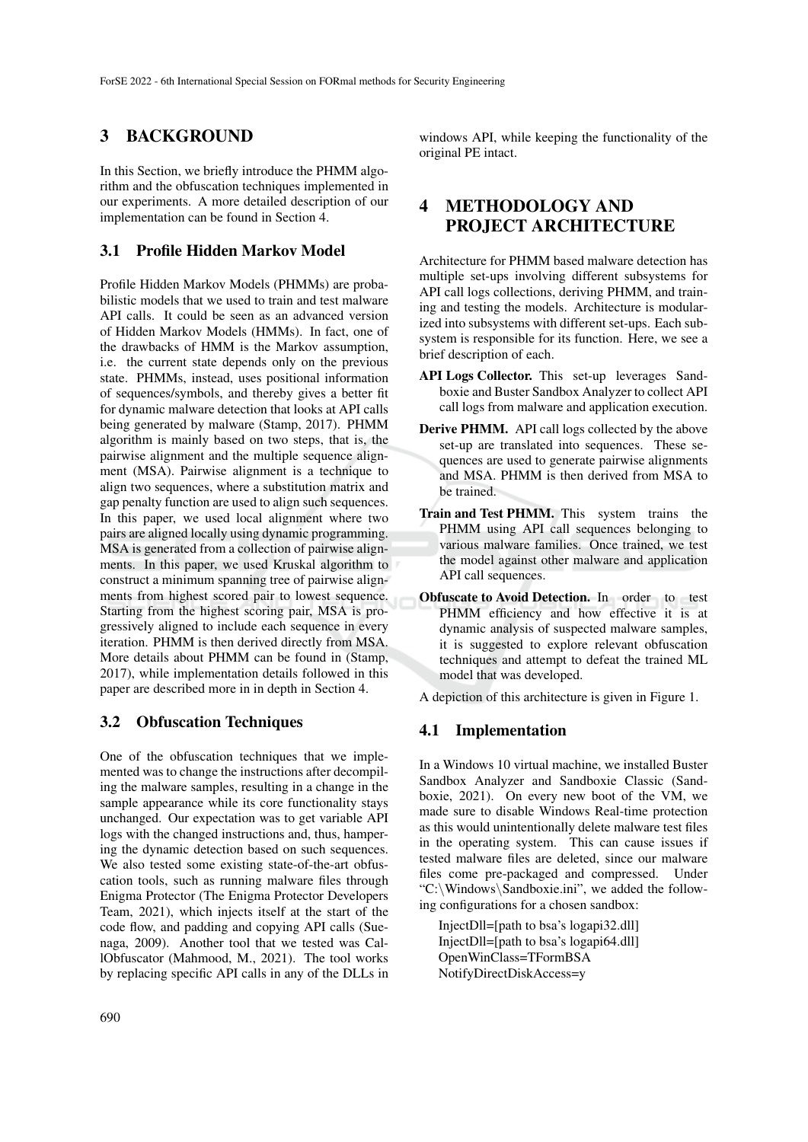## 3 BACKGROUND

In this Section, we briefly introduce the PHMM algorithm and the obfuscation techniques implemented in our experiments. A more detailed description of our implementation can be found in Section 4.

### 3.1 Profile Hidden Markov Model

Profile Hidden Markov Models (PHMMs) are probabilistic models that we used to train and test malware API calls. It could be seen as an advanced version of Hidden Markov Models (HMMs). In fact, one of the drawbacks of HMM is the Markov assumption, i.e. the current state depends only on the previous state. PHMMs, instead, uses positional information of sequences/symbols, and thereby gives a better fit for dynamic malware detection that looks at API calls being generated by malware (Stamp, 2017). PHMM algorithm is mainly based on two steps, that is, the pairwise alignment and the multiple sequence alignment (MSA). Pairwise alignment is a technique to align two sequences, where a substitution matrix and gap penalty function are used to align such sequences. In this paper, we used local alignment where two pairs are aligned locally using dynamic programming. MSA is generated from a collection of pairwise alignments. In this paper, we used Kruskal algorithm to construct a minimum spanning tree of pairwise alignments from highest scored pair to lowest sequence. Starting from the highest scoring pair, MSA is progressively aligned to include each sequence in every iteration. PHMM is then derived directly from MSA. More details about PHMM can be found in (Stamp, 2017), while implementation details followed in this paper are described more in in depth in Section 4.

### 3.2 Obfuscation Techniques

One of the obfuscation techniques that we implemented was to change the instructions after decompiling the malware samples, resulting in a change in the sample appearance while its core functionality stays unchanged. Our expectation was to get variable API logs with the changed instructions and, thus, hampering the dynamic detection based on such sequences. We also tested some existing state-of-the-art obfuscation tools, such as running malware files through Enigma Protector (The Enigma Protector Developers Team, 2021), which injects itself at the start of the code flow, and padding and copying API calls (Suenaga, 2009). Another tool that we tested was CallObfuscator (Mahmood, M., 2021). The tool works by replacing specific API calls in any of the DLLs in

windows API, while keeping the functionality of the original PE intact.

# 4 METHODOLOGY AND PROJECT ARCHITECTURE

Architecture for PHMM based malware detection has multiple set-ups involving different subsystems for API call logs collections, deriving PHMM, and training and testing the models. Architecture is modularized into subsystems with different set-ups. Each subsystem is responsible for its function. Here, we see a brief description of each.

- API Logs Collector. This set-up leverages Sandboxie and Buster Sandbox Analyzer to collect API call logs from malware and application execution.
- Derive PHMM. API call logs collected by the above set-up are translated into sequences. These sequences are used to generate pairwise alignments and MSA. PHMM is then derived from MSA to be trained.
- Train and Test PHMM. This system trains the PHMM using API call sequences belonging to various malware families. Once trained, we test the model against other malware and application API call sequences.
- Obfuscate to Avoid Detection. In order to test PHMM efficiency and how effective it is at dynamic analysis of suspected malware samples, it is suggested to explore relevant obfuscation techniques and attempt to defeat the trained ML model that was developed.

A depiction of this architecture is given in Figure 1.

#### 4.1 Implementation

In a Windows 10 virtual machine, we installed Buster Sandbox Analyzer and Sandboxie Classic (Sandboxie, 2021). On every new boot of the VM, we made sure to disable Windows Real-time protection as this would unintentionally delete malware test files in the operating system. This can cause issues if tested malware files are deleted, since our malware files come pre-packaged and compressed. Under "C:\Windows\Sandboxie.ini", we added the following configurations for a chosen sandbox:

InjectDll=[path to bsa's logapi32.dll] InjectDll=[path to bsa's logapi64.dll] OpenWinClass=TFormBSA NotifyDirectDiskAccess=y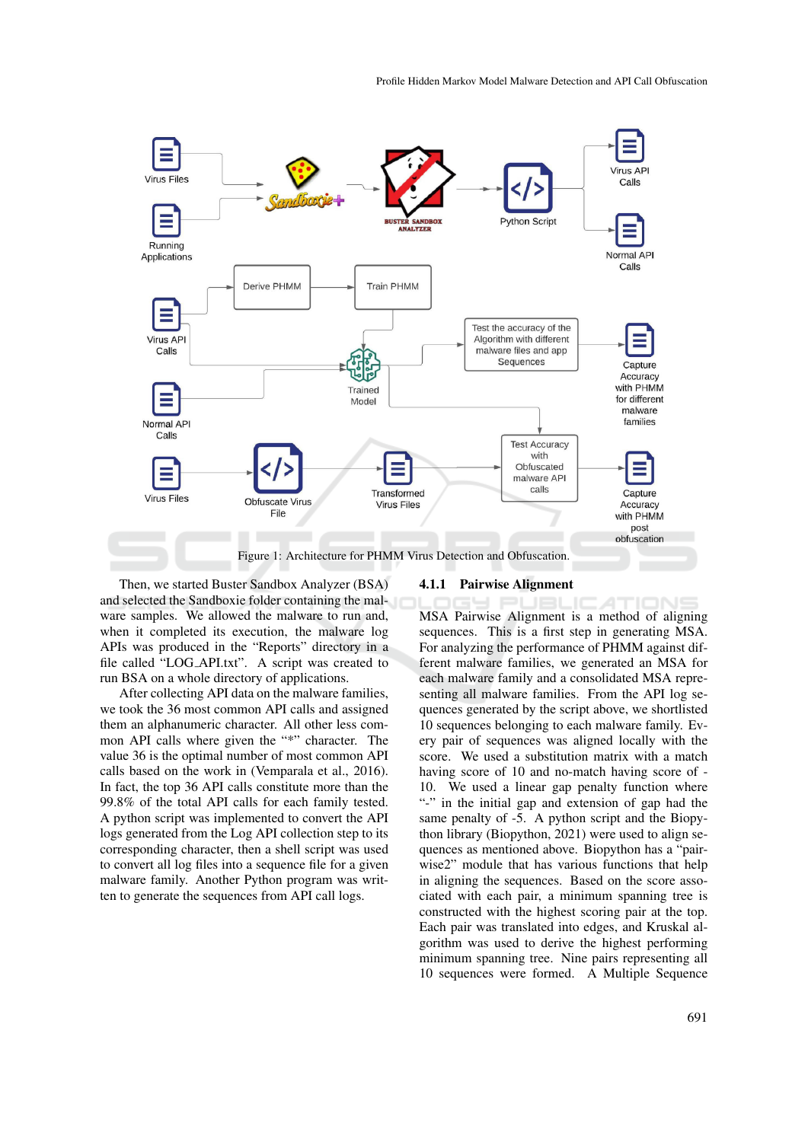

Then, we started Buster Sandbox Analyzer (BSA) and selected the Sandboxie folder containing the malware samples. We allowed the malware to run and, when it completed its execution, the malware log APIs was produced in the "Reports" directory in a file called "LOG API.txt". A script was created to run BSA on a whole directory of applications.

After collecting API data on the malware families, we took the 36 most common API calls and assigned them an alphanumeric character. All other less common API calls where given the "\*" character. The value 36 is the optimal number of most common API calls based on the work in (Vemparala et al., 2016). In fact, the top 36 API calls constitute more than the 99.8% of the total API calls for each family tested. A python script was implemented to convert the API logs generated from the Log API collection step to its corresponding character, then a shell script was used to convert all log files into a sequence file for a given malware family. Another Python program was written to generate the sequences from API call logs.

#### 4.1.1 Pairwise Alignment

MSA Pairwise Alignment is a method of aligning sequences. This is a first step in generating MSA. For analyzing the performance of PHMM against different malware families, we generated an MSA for each malware family and a consolidated MSA representing all malware families. From the API log sequences generated by the script above, we shortlisted 10 sequences belonging to each malware family. Every pair of sequences was aligned locally with the score. We used a substitution matrix with a match having score of 10 and no-match having score of - 10. We used a linear gap penalty function where "-" in the initial gap and extension of gap had the same penalty of -5. A python script and the Biopython library (Biopython, 2021) were used to align sequences as mentioned above. Biopython has a "pairwise2" module that has various functions that help in aligning the sequences. Based on the score associated with each pair, a minimum spanning tree is constructed with the highest scoring pair at the top. Each pair was translated into edges, and Kruskal algorithm was used to derive the highest performing minimum spanning tree. Nine pairs representing all 10 sequences were formed. A Multiple Sequence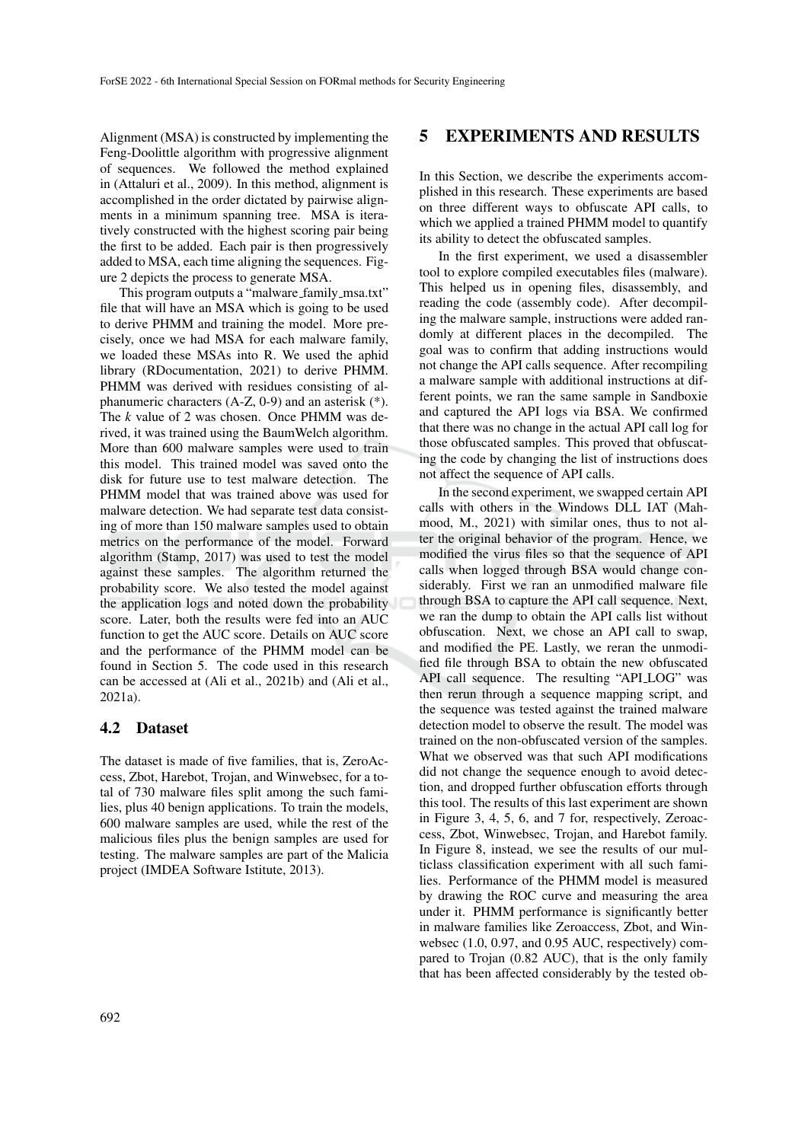Alignment (MSA) is constructed by implementing the Feng-Doolittle algorithm with progressive alignment of sequences. We followed the method explained in (Attaluri et al., 2009). In this method, alignment is accomplished in the order dictated by pairwise alignments in a minimum spanning tree. MSA is iteratively constructed with the highest scoring pair being the first to be added. Each pair is then progressively added to MSA, each time aligning the sequences. Figure 2 depicts the process to generate MSA.

This program outputs a "malware\_family\_msa.txt" file that will have an MSA which is going to be used to derive PHMM and training the model. More precisely, once we had MSA for each malware family, we loaded these MSAs into R. We used the aphid library (RDocumentation, 2021) to derive PHMM. PHMM was derived with residues consisting of alphanumeric characters (A-Z, 0-9) and an asterisk (\*). The *k* value of 2 was chosen. Once PHMM was derived, it was trained using the BaumWelch algorithm. More than 600 malware samples were used to train this model. This trained model was saved onto the disk for future use to test malware detection. The PHMM model that was trained above was used for malware detection. We had separate test data consisting of more than 150 malware samples used to obtain metrics on the performance of the model. Forward algorithm (Stamp, 2017) was used to test the model against these samples. The algorithm returned the probability score. We also tested the model against the application logs and noted down the probability score. Later, both the results were fed into an AUC function to get the AUC score. Details on AUC score and the performance of the PHMM model can be found in Section 5. The code used in this research can be accessed at (Ali et al., 2021b) and (Ali et al., 2021a).

### 4.2 Dataset

The dataset is made of five families, that is, ZeroAccess, Zbot, Harebot, Trojan, and Winwebsec, for a total of 730 malware files split among the such families, plus 40 benign applications. To train the models, 600 malware samples are used, while the rest of the malicious files plus the benign samples are used for testing. The malware samples are part of the Malicia project (IMDEA Software Istitute, 2013).

## 5 EXPERIMENTS AND RESULTS

In this Section, we describe the experiments accomplished in this research. These experiments are based on three different ways to obfuscate API calls, to which we applied a trained PHMM model to quantify its ability to detect the obfuscated samples.

In the first experiment, we used a disassembler tool to explore compiled executables files (malware). This helped us in opening files, disassembly, and reading the code (assembly code). After decompiling the malware sample, instructions were added randomly at different places in the decompiled. The goal was to confirm that adding instructions would not change the API calls sequence. After recompiling a malware sample with additional instructions at different points, we ran the same sample in Sandboxie and captured the API logs via BSA. We confirmed that there was no change in the actual API call log for those obfuscated samples. This proved that obfuscating the code by changing the list of instructions does not affect the sequence of API calls.

In the second experiment, we swapped certain API calls with others in the Windows DLL IAT (Mahmood, M., 2021) with similar ones, thus to not alter the original behavior of the program. Hence, we modified the virus files so that the sequence of API calls when logged through BSA would change considerably. First we ran an unmodified malware file through BSA to capture the API call sequence. Next, we ran the dump to obtain the API calls list without obfuscation. Next, we chose an API call to swap, and modified the PE. Lastly, we reran the unmodified file through BSA to obtain the new obfuscated API call sequence. The resulting "API LOG" was then rerun through a sequence mapping script, and the sequence was tested against the trained malware detection model to observe the result. The model was trained on the non-obfuscated version of the samples. What we observed was that such API modifications did not change the sequence enough to avoid detection, and dropped further obfuscation efforts through this tool. The results of this last experiment are shown in Figure 3, 4, 5, 6, and 7 for, respectively, Zeroaccess, Zbot, Winwebsec, Trojan, and Harebot family. In Figure 8, instead, we see the results of our multiclass classification experiment with all such families. Performance of the PHMM model is measured by drawing the ROC curve and measuring the area under it. PHMM performance is significantly better in malware families like Zeroaccess, Zbot, and Winwebsec (1.0, 0.97, and 0.95 AUC, respectively) compared to Trojan (0.82 AUC), that is the only family that has been affected considerably by the tested ob-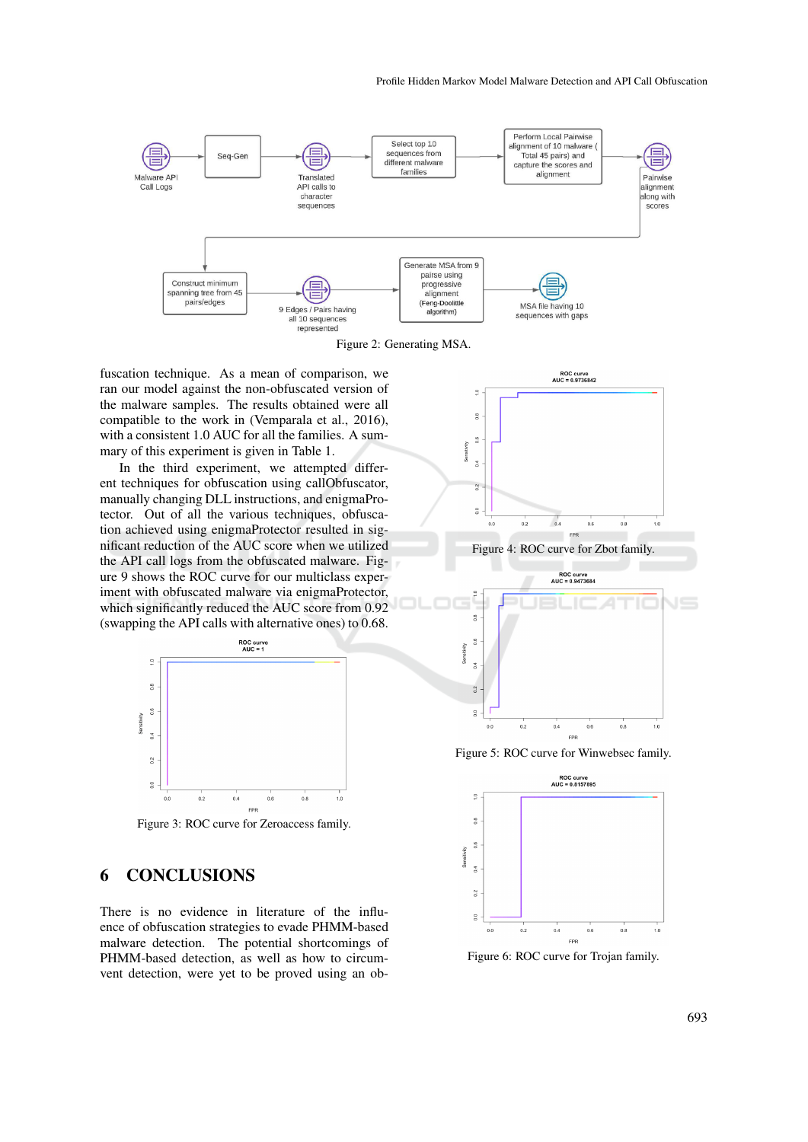

Figure 2: Generating MSA.

fuscation technique. As a mean of comparison, we ran our model against the non-obfuscated version of the malware samples. The results obtained were all compatible to the work in (Vemparala et al., 2016), with a consistent 1.0 AUC for all the families. A summary of this experiment is given in Table 1.

In the third experiment, we attempted different techniques for obfuscation using callObfuscator, manually changing DLL instructions, and enigmaProtector. Out of all the various techniques, obfuscation achieved using enigmaProtector resulted in significant reduction of the AUC score when we utilized the API call logs from the obfuscated malware. Figure 9 shows the ROC curve for our multiclass experiment with obfuscated malware via enigmaProtector, which significantly reduced the AUC score from 0.92 (swapping the API calls with alternative ones) to 0.68.



Figure 3: ROC curve for Zeroaccess family.

## 6 CONCLUSIONS

There is no evidence in literature of the influence of obfuscation strategies to evade PHMM-based malware detection. The potential shortcomings of PHMM-based detection, as well as how to circumvent detection, were yet to be proved using an ob-



EPI Figure 5: ROC curve for Winwebsec family.

 $0.4$ 

 $0.2$ 

 $\tilde{a}$ 



 $\frac{1}{10}$ 

 $0.8$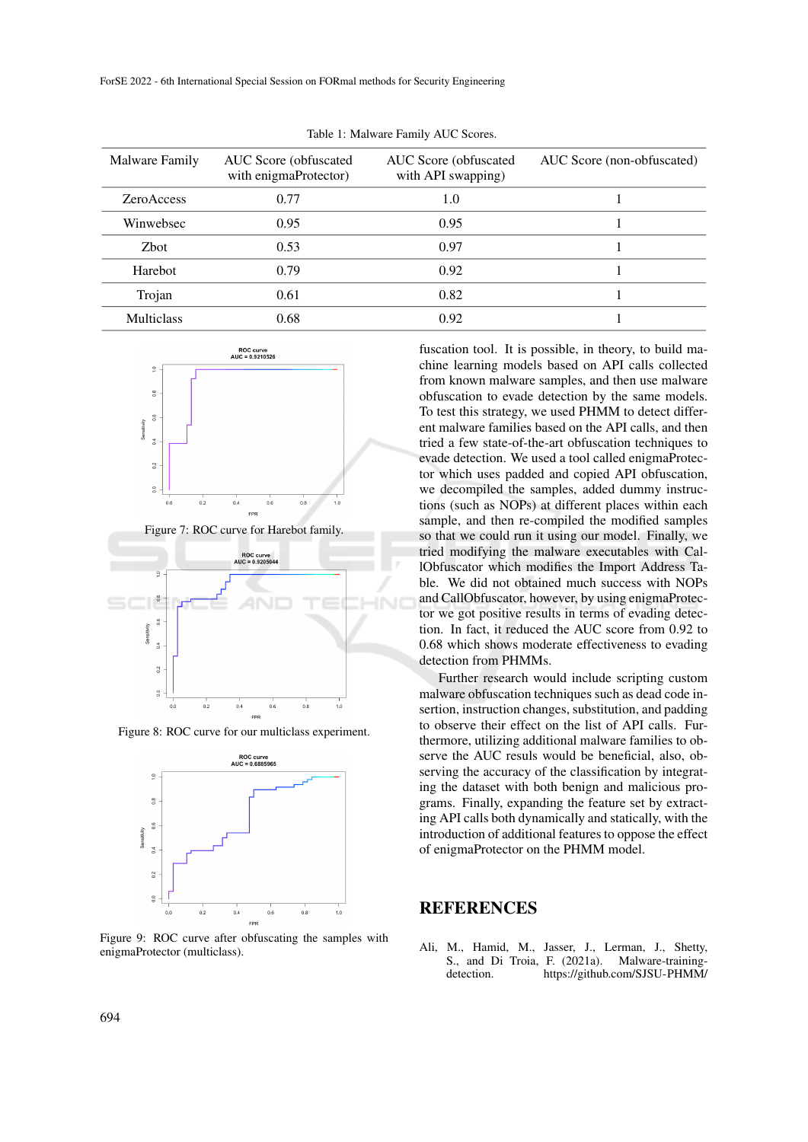| Malware Family    | AUC Score (obfuscated<br>with enigmaProtector) | AUC Score (obfuscated)<br>with API swapping) | AUC Score (non-obfuscated) |
|-------------------|------------------------------------------------|----------------------------------------------|----------------------------|
| <b>ZeroAccess</b> | 0.77                                           | 1.0                                          |                            |
| Winwebsec         | 0.95                                           | 0.95                                         |                            |
| <b>Z</b> bot      | 0.53                                           | 0.97                                         |                            |
| Harebot           | 0.79                                           | 0.92                                         |                            |
| Trojan            | 0.61                                           | 0.82                                         |                            |
| <b>Multiclass</b> | 0.68                                           | 0.92                                         |                            |
|                   |                                                |                                              |                            |

Table 1: Malware Family AUC Scores.



Figure 7: ROC curve for Harebot family.



Figure 8: ROC curve for our multiclass experiment.



Figure 9: ROC curve after obfuscating the samples with enigmaProtector (multiclass).

fuscation tool. It is possible, in theory, to build machine learning models based on API calls collected from known malware samples, and then use malware obfuscation to evade detection by the same models. To test this strategy, we used PHMM to detect different malware families based on the API calls, and then tried a few state-of-the-art obfuscation techniques to evade detection. We used a tool called enigmaProtector which uses padded and copied API obfuscation, we decompiled the samples, added dummy instructions (such as NOPs) at different places within each sample, and then re-compiled the modified samples so that we could run it using our model. Finally, we tried modifying the malware executables with CallObfuscator which modifies the Import Address Table. We did not obtained much success with NOPs and CallObfuscator, however, by using enigmaProtector we got positive results in terms of evading detection. In fact, it reduced the AUC score from 0.92 to 0.68 which shows moderate effectiveness to evading detection from PHMMs.

Further research would include scripting custom malware obfuscation techniques such as dead code insertion, instruction changes, substitution, and padding to observe their effect on the list of API calls. Furthermore, utilizing additional malware families to observe the AUC resuls would be beneficial, also, observing the accuracy of the classification by integrating the dataset with both benign and malicious programs. Finally, expanding the feature set by extracting API calls both dynamically and statically, with the introduction of additional features to oppose the effect of enigmaProtector on the PHMM model.

### REFERENCES

Ali, M., Hamid, M., Jasser, J., Lerman, J., Shetty, S., and Di Troia, F. (2021a). Malware-trainingdetection. https://github.com/SJSU-PHMM/